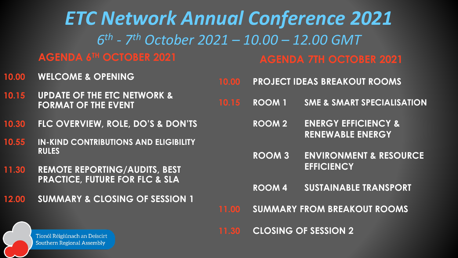*ETC Network Annual Conference 2021 6 th - 7 th October 2021 – 10.00 – 12.00 GMT* 

**AGENDA 6TH OCTOBER 2021**

**10.00 WELCOME & OPENING**

- **10.15 UPDATE OF THE ETC NETWORK & FORMAT OF THE EVENT**
- **10.30 FLC OVERVIEW, ROLE, DO'S & DON'TS**
- **10.55 IN-KIND CONTRIBUTIONS AND ELIGIBILITY RULES**
- **11.30 REMOTE REPORTING/AUDITS, BEST PRACTICE, FUTURE FOR FLC & SLA**
- **12.00 SUMMARY & CLOSING OF SESSION 1**

**AGENDA 7TH OCTOBER 2021**

- **10.00 PROJECT IDEAS BREAKOUT ROOMS**
- **10.15 ROOM 1 SME & SMART SPECIALISATION**
	- **ROOM 2 ENERGY EFFICIENCY & RENEWABLE ENERGY**
	- **ROOM 3 ENVIRONMENT & RESOURCE EFFICIENCY**
	- **ROOM 4 SUSTAINABLE TRANSPORT**
- **11.00 SUMMARY FROM BREAKOUT ROOMS**

**11.30 CLOSING OF SESSION 2**

Tionól Réigiúnach an Deiscirt **Southern Regional Assembly**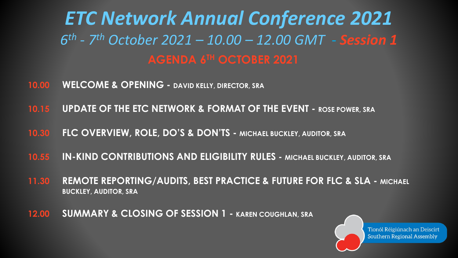*ETC Network Annual Conference 2021 6 th - 7 th October 2021 – 10.00 – 12.00 GMT - Session 1* **AGENDA 6TH OCTOBER 2021**

- **10.00 WELCOME & OPENING - DAVID KELLY, DIRECTOR, SRA**
- **10.15 UPDATE OF THE ETC NETWORK & FORMAT OF THE EVENT - ROSE POWER, SRA**
- **10.30 FLC OVERVIEW, ROLE, DO'S & DON'TS - MICHAEL BUCKLEY, AUDITOR, SRA**
- **10.55 IN-KIND CONTRIBUTIONS AND ELIGIBILITY RULES - MICHAEL BUCKLEY, AUDITOR, SRA**
- **11.30 REMOTE REPORTING/AUDITS, BEST PRACTICE & FUTURE FOR FLC & SLA - MICHAEL BUCKLEY, AUDITOR, SRA**
- **12.00 SUMMARY & CLOSING OF SESSION 1 - KAREN COUGHLAN, SRA**